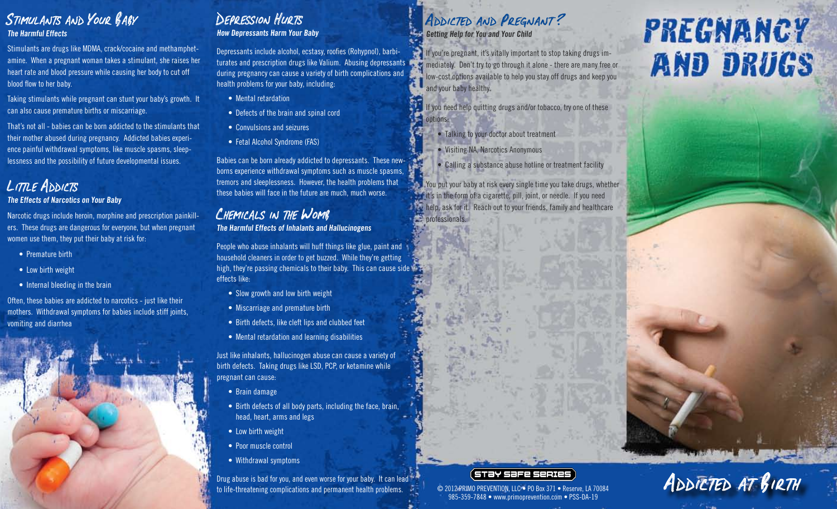# Stimulants and Your Baby

**The Harmful Effects** 

Stimulants are drugs like MDMA, crack/cocaine and methamphetamine. When a pregnant woman takes a stimulant, she raises her heart rate and blood pressure while causing her body to cut off blood flow to her baby.

Taking stimulants while pregnant can stunt your baby's growth. It can also cause premature births or miscarriage.

That's not all - babies can be born addicted to the stimulants that their mother abused during pregnancy. Addicted babies experience painful withdrawal symptoms, like muscle spasms, sleeplessness and the possibility of future developmental issues.

# LITTLE ADDICTS

#### **The Effects of Narcotics on Your Baby**

Narcotic drugs include heroin, morphine and prescription painkillers. These drugs are dangerous for everyone, but when pregnant women use them, they put their baby at risk for:

- Premature birth
- Low birth weight
- Internal bleeding in the brain

Often, these babies are addicted to narcotics - just like their mothers. Withdrawal symptoms for babies include stiff joints, vomiting and diarrhea



# DEPRESSION HURTS

**How Depressants Harm Your Baby** 

Depressants include alcohol, ecstasy, roofies (Rohypnol), barbiturates and prescription drugs like Valium. Abusing depressants during pregnancy can cause a variety of birth complications and health problems for your baby, including:

- Mental retardation
- Defects of the brain and spinal cord
- Convulsions and seizures
- Fetal Alcohol Syndrome (FAS)

Babies can be born already addicted to depressants. These newborns experience withdrawal symptoms such as muscle spasms, tremors and sleeplessness. However, the health problems that these babies will face in the future are much, much worse.

# CHEMICALS IN THE WOMB

**The Harmful Effects of Inhalants and Hallucinogens** 

People who abuse inhalants will huff things like glue, paint and household cleaners in order to get buzzed. While they're getting high, they're passing chemicals to their baby. This can cause side effects like:

- Slow growth and low birth weight
- Miscarriage and premature birth
- Birth defects, like cleft lips and clubbed feet
- Mental retardation and learning disabilities

Just like inhalants, hallucinogen abuse can cause a variety of birth defects. Taking drugs like LSD, PCP, or ketamine while pregnant can cause:

- Brain damage
- Birth defects of all body parts, including the face, brain, head, heart, arms and legs
- Low birth weight
- Poor muscle control
- Withdrawal symptoms

Drug abuse is bad for you, and even worse for your baby. It can lead  $\sim$ to life-threatening complications and permanent health problems.

#### ADDICTED AND PREGNANT? **Getting Help for You and Your Child**

If you're pregnant, it's vitally important to stop taking drugs im-**M** mediately. Don't try to go through it alone - there are many free or low-cost options available to help you stay off drugs and keep you and your baby healthy.

If you need help quitting drugs and/or tobacco, try one of these options:

- Talking to your doctor about treatment
- Visiting NA, Narcotics Anonymous
- Calling a substance abuse hotline or treatment facility

You put your baby at risk every single time you take drugs, whether  $\pm$  it's in the form of a cigarette, pill, joint, or needle. If you need **help, ask for it.** Reach out to your friends, family and healthcare **professionals.** 

# **PREGNANCY AND DRUGS**

ADDICTED AT BIRTH

#### ( STƏY SƏFE SERIES

© 2012 PRIMO PREVENTION, LLC • PO Box 371 • Reserve, LA 70084 985-359-7848 • www.primoprevention.com • PSS-DA-19